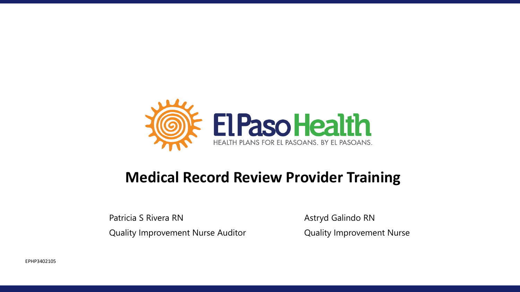

### **Medical Record Review Provider Training**

Patricia S Rivera RN Astryd Galindo RN Quality Improvement Nurse Auditor Quality Improvement Nurse

EPHP3402105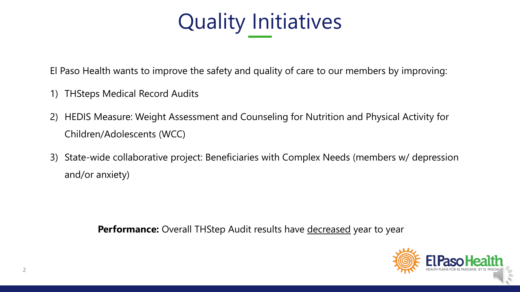

El Paso Health wants to improve the safety and quality of care to our members by improving:

- 1) THSteps Medical Record Audits
- 2) HEDIS Measure: Weight Assessment and Counseling for Nutrition and Physical Activity for Children/Adolescents (WCC)
- 3) State-wide collaborative project: Beneficiaries with Complex Needs (members w/ depression and/or anxiety)

Performance: Overall THStep Audit results have decreased year to year

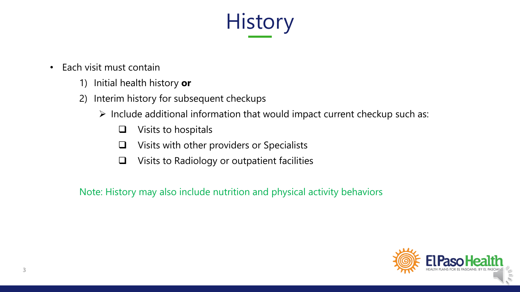# **History**

- Each visit must contain
	- 1) Initial health history **or**
	- 2) Interim history for subsequent checkups
		- ➢ Include additional information that would impact current checkup such as:
			- ❑ Visits to hospitals
			- ❑ Visits with other providers or Specialists
			- ❑ Visits to Radiology or outpatient facilities

Note: History may also include nutrition and physical activity behaviors

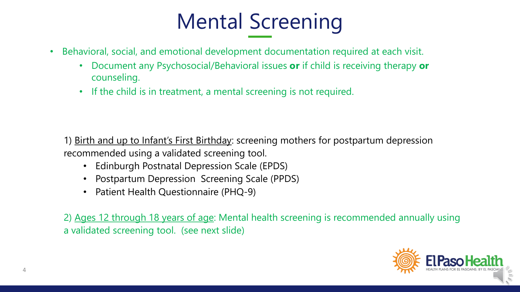# Mental Screening

- Behavioral, social, and emotional development documentation required at each visit.
	- Document any Psychosocial/Behavioral issues **or** if child is receiving therapy **or**  counseling.
	- If the child is in treatment, a mental screening is not required.

1) Birth and up to Infant's First Birthday: screening mothers for postpartum depression recommended using a validated screening tool.

- Edinburgh Postnatal Depression Scale (EPDS)
- Postpartum Depression Screening Scale (PPDS)
- Patient Health Questionnaire (PHQ-9)

2) Ages 12 through 18 years of age: Mental health screening is recommended annually using a validated screening tool. (see next slide)

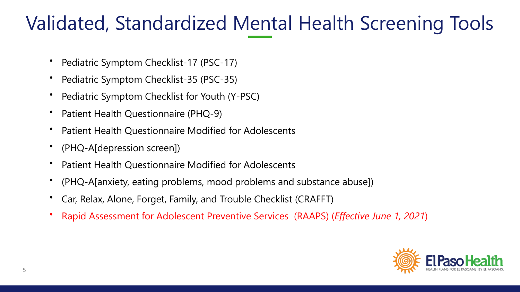### Validated, Standardized Mental Health Screening Tools

- Pediatric Symptom Checklist-17 (PSC-17)
- Pediatric Symptom Checklist-35 (PSC-35)
- Pediatric Symptom Checklist for Youth (Y-PSC)
- Patient Health Questionnaire (PHQ-9)
- Patient Health Questionnaire Modified for Adolescents
- (PHQ-A[depression screen])
- Patient Health Questionnaire Modified for Adolescents
- (PHQ-A[anxiety, eating problems, mood problems and substance abuse])
- Car, Relax, Alone, Forget, Family, and Trouble Checklist (CRAFFT)
- Rapid Assessment for Adolescent Preventive Services (RAAPS) (*Effective June 1, 2021*)

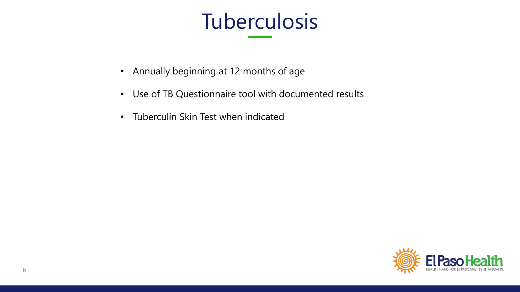# Tuberculosis

- Annually beginning at 12 months of age
- Use of TB Questionnaire tool with documented results
- Tuberculin Skin Test when indicated

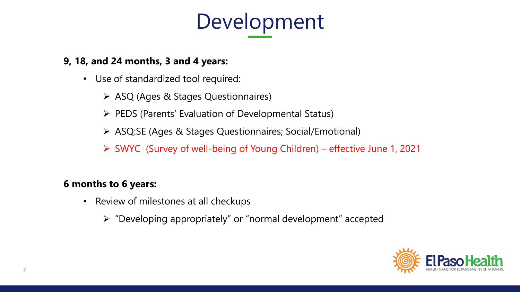

#### **9, 18, and 24 months, 3 and 4 years:**

- Use of standardized tool required:
	- ➢ ASQ (Ages & Stages Questionnaires)
	- ➢ PEDS (Parents' Evaluation of Developmental Status)
	- ➢ ASQ:SE (Ages & Stages Questionnaires; Social/Emotional)
	- ➢ SWYC (Survey of well-being of Young Children) effective June 1, 2021

#### **6 months to 6 years:**

- Review of milestones at all checkups
	- ➢ "Developing appropriately" or "normal development" accepted

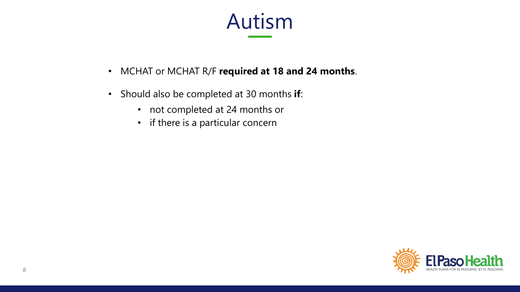

- MCHAT or MCHAT R/F **required at 18 and 24 months**.
- Should also be completed at 30 months **if**:
	- not completed at 24 months or
	- if there is a particular concern

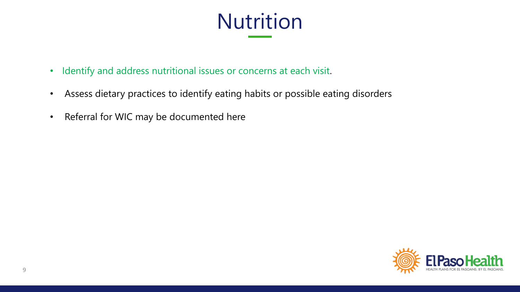# Nutrition

- Identify and address nutritional issues or concerns at each visit.
- Assess dietary practices to identify eating habits or possible eating disorders
- Referral for WIC may be documented here

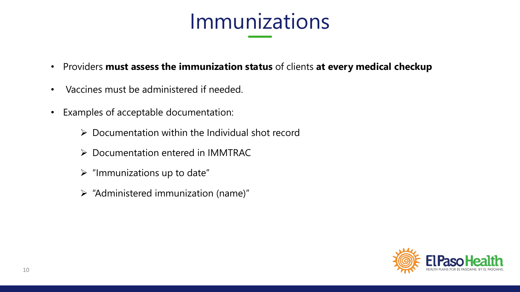

- Providers **must assess the immunization status** of clients **at every medical checkup**
- Vaccines must be administered if needed.
- Examples of acceptable documentation:
	- $\triangleright$  Documentation within the Individual shot record
	- ➢ Documentation entered in IMMTRAC
	- $\triangleright$  "Immunizations up to date"
	- ➢ "Administered immunization (name)"

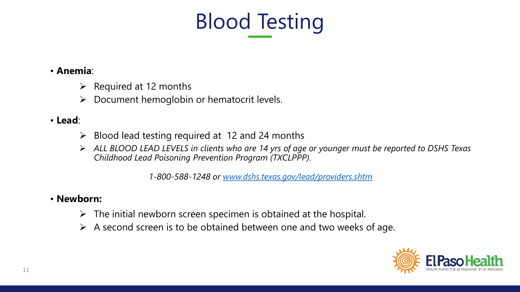

#### • **Anemia**:

- $\triangleright$  Required at 12 months
- ➢ Document hemoglobin or hematocrit levels.

#### • **Lead**:

- $\triangleright$  Blood lead testing required at 12 and 24 months
- ➢ *ALL BLOOD LEAD LEVELS in clients who are 14 yrs of age or younger must be reported to DSHS Texas Childhood Lead Poisoning Prevention Program (TXCLPPP).*

*1-800-588-1248 or [www.dshs.texas.gov/lead/providers.shtm](http://www.dshs.texas.gov/lead/providers.shtm)*

#### • **Newborn:**

- $\triangleright$  The initial newborn screen specimen is obtained at the hospital.
- $\triangleright$  A second screen is to be obtained between one and two weeks of age.

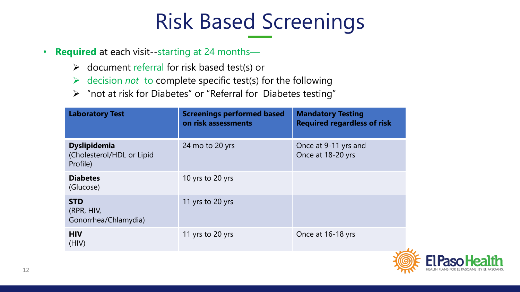# Risk Based Screenings

- **Required** at each visit--starting at 24 months—
	- ➢ document referral for risk based test(s) or
	- ➢ decision *not* to complete specific test(s) for the following
	- ➢ "not at risk for Diabetes" or "Referral for Diabetes testing"

| <b>Laboratory Test</b>                                       | <b>Screenings performed based</b><br>on risk assessments | <b>Mandatory Testing</b><br><b>Required regardless of risk</b> |
|--------------------------------------------------------------|----------------------------------------------------------|----------------------------------------------------------------|
| <b>Dyslipidemia</b><br>(Cholesterol/HDL or Lipid<br>Profile) | 24 mo to 20 yrs                                          | Once at 9-11 yrs and<br>Once at 18-20 yrs                      |
| <b>Diabetes</b><br>(Glucose)                                 | 10 yrs to 20 yrs                                         |                                                                |
| <b>STD</b><br>(RPR, HIV,<br>Gonorrhea/Chlamydia)             | 11 yrs to 20 yrs                                         |                                                                |
| <b>HIV</b><br>(HIV)                                          | 11 yrs to 20 yrs                                         | Once at 16-18 yrs                                              |

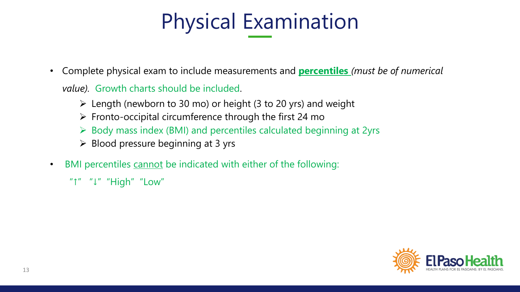# Physical Examination

• Complete physical exam to include measurements and **percentiles** *(must be of numerical* 

*value).* Growth charts should be included.

- ➢ Length (newborn to 30 mo) or height (3 to 20 yrs) and weight
- $\triangleright$  Fronto-occipital circumference through the first 24 mo
- ➢ Body mass index (BMI) and percentiles calculated beginning at 2yrs
- $\triangleright$  Blood pressure beginning at 3 yrs
- BMI percentiles cannot be indicated with either of the following:

"↑" "↓" "High" "Low"

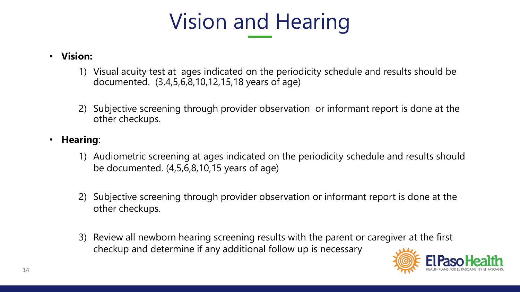# Vision and Hearing

#### • **Vision:**

- 1) Visual acuity test at ages indicated on the periodicity schedule and results should be documented. (3,4,5,6,8,10,12,15,18 years of age)
- 2) Subjective screening through provider observation or informant report is done at the other checkups.

#### • **Hearing**:

- 1) Audiometric screening at ages indicated on the periodicity schedule and results should be documented. (4,5,6,8,10,15 years of age)
- 2) Subjective screening through provider observation or informant report is done at the other checkups.
- 3) Review all newborn hearing screening results with the parent or caregiver at the first checkup and determine if any additional follow up is necessary

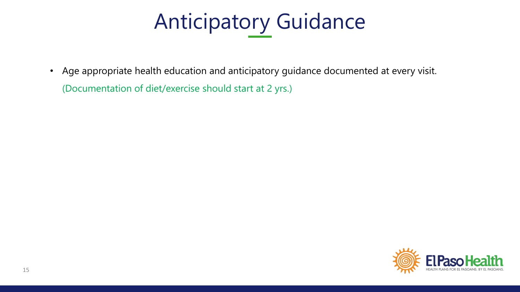# Anticipatory Guidance

• Age appropriate health education and anticipatory guidance documented at every visit. (Documentation of diet/exercise should start at 2 yrs.)

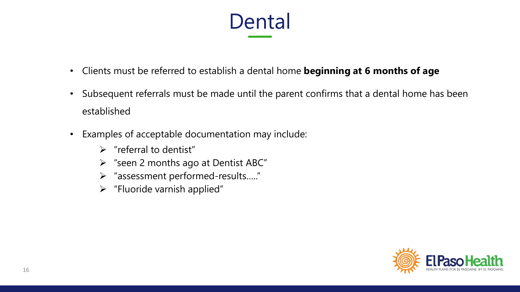# Dental

- Clients must be referred to establish a dental home **beginning at 6 months of age**
- Subsequent referrals must be made until the parent confirms that a dental home has been established
- Examples of acceptable documentation may include:
	- $\triangleright$  "referral to dentist"
	- ➢ "seen 2 months ago at Dentist ABC"
	- ➢ "assessment performed-results….."
	- ➢ "Fluoride varnish applied"

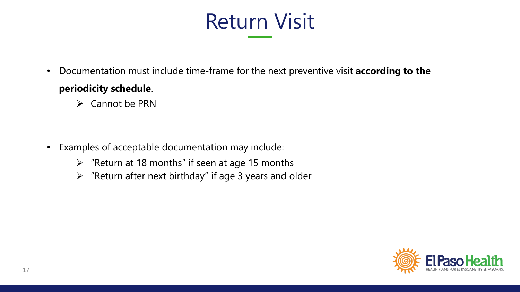# Return Visit

- Documentation must include time-frame for the next preventive visit **according to the periodicity schedule**.
	- ➢ Cannot be PRN

- Examples of acceptable documentation may include:
	- $\triangleright$  "Return at 18 months" if seen at age 15 months
	- $\triangleright$  "Return after next birthday" if age 3 years and older

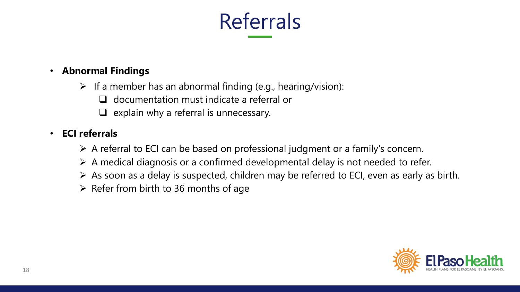

#### • **Abnormal Findings**

- $\triangleright$  If a member has an abnormal finding (e.g., hearing/vision):
	- ❑ documentation must indicate a referral or
	- $\Box$  explain why a referral is unnecessary.

#### • **ECI referrals**

- ➢ A referral to ECI can be based on professional judgment or a family's concern.
- $\triangleright$  A medical diagnosis or a confirmed developmental delay is not needed to refer.
- ➢ As soon as a delay is suspected, children may be referred to ECI, even as early as birth.
- $\triangleright$  Refer from birth to 36 months of age

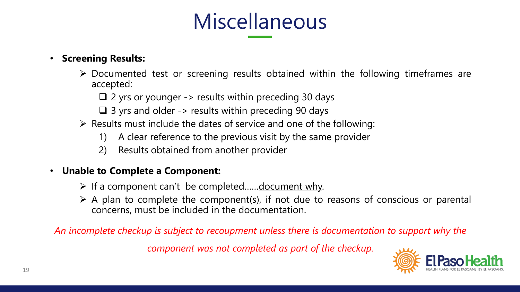# Miscellaneous

#### • **Screening Results:**

- ➢ Documented test or screening results obtained within the following timeframes are accepted:
	- $\Box$  2 yrs or younger -> results within preceding 30 days
	- $\Box$  3 yrs and older -> results within preceding 90 days
- ➢ Results must include the dates of service and one of the following:
	- 1) A clear reference to the previous visit by the same provider
	- 2) Results obtained from another provider

#### • **Unable to Complete a Component:**

- ➢ If a component can't be completed……document why.
- $\triangleright$  A plan to complete the component(s), if not due to reasons of conscious or parental concerns, must be included in the documentation.

*An incomplete checkup is subject to recoupment unless there is documentation to support why the* 

*component was not completed as part of the checkup.* 

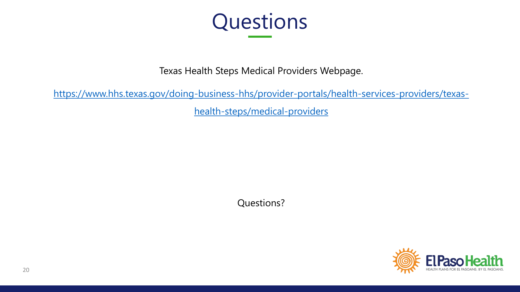

Texas Health Steps Medical Providers Webpage.

[https://www.hhs.texas.gov/doing-business-hhs/provider-portals/health-services-providers/texas](https://www.hhs.texas.gov/doing-business-hhs/provider-portals/health-services-providers/texas-health-steps/medical-providers)health-steps/medical-providers

Questions?

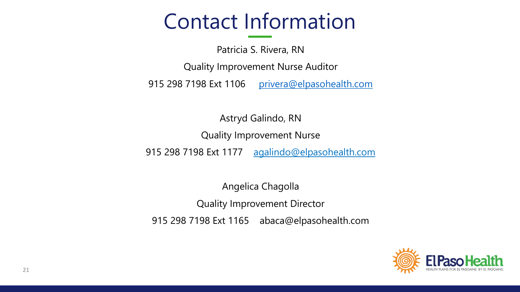## Contact Information

Patricia S. Rivera, RN Quality Improvement Nurse Auditor 915 298 7198 Ext 1106 [privera@elpasohealth.com](mailto:privera@elpasohealth.com)

Astryd Galindo, RN Quality Improvement Nurse 915 298 7198 Ext 1177 agalindo@elpasohealth.com

Angelica Chagolla Quality Improvement Director 915 298 7198 Ext 1165 abaca@elpasohealth.com